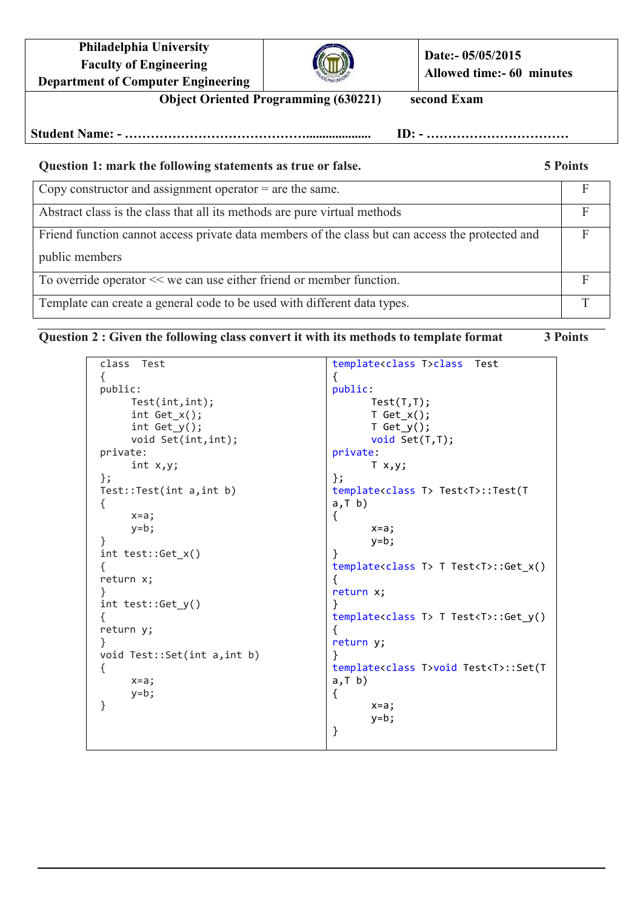**Philadelphia University Faculty of Engineering Department of Computer Engineering**



**Date:- 05/05/2015 Allowed time:- 60 minutes**

**Object Oriented Programming (630221)** second Exam

**Student Name: - …………………………………….................... ID: - ……………………………**

| Question 1: mark the following statements as true or false.                                      | <b>5 Points</b> |
|--------------------------------------------------------------------------------------------------|-----------------|
| Copy constructor and assignment operator $=$ are the same.                                       |                 |
| Abstract class is the class that all its methods are pure virtual methods                        | F               |
| Friend function cannot access private data members of the class but can access the protected and |                 |
| public members                                                                                   |                 |
| To override operator << we can use either friend or member function.                             |                 |
| Template can create a general code to be used with different data types.                         |                 |

**Question 2 : Given the following class convert it with its methods to template format 3 Points**

| class Test                   | template <class t="">class Test</class>              |
|------------------------------|------------------------------------------------------|
|                              |                                                      |
| public:                      | public:                                              |
| Test(int, int);              | Test(I, I);                                          |
| $int Get_x()$ ;              | $T$ Get_x();                                         |
| $int Get_y()$ ;              | $T Get_y()$ ;                                        |
| void Set(int, int);          | void Set(T, T);                                      |
| private:                     | private:                                             |
| int x, y;                    | Tx, y;                                               |
| };                           | };                                                   |
| Test::Test(int a, int b)     | template <class t=""> Test<t>::Test(T</t></class>    |
| ₹                            | a, T, b)                                             |
| $x=a;$                       | {                                                    |
| $y=b;$                       | $x=a;$                                               |
| }                            | y=b;                                                 |
| $int test::Get_x()$          | ł                                                    |
| ſ                            | template <class t=""> T Test<t>::Get_x()</t></class> |
| return x;                    | ₹                                                    |
|                              | return x;                                            |
| $int test::Get_y()$          |                                                      |
|                              | template <class t=""> T Test<t>::Get_y()</t></class> |
| ₹                            |                                                      |
| return y;<br>}               | ſ                                                    |
|                              | return y;                                            |
| void Test::Set(int a, int b) |                                                      |
| {                            | template <class t="">void Test<t>::Set(T</t></class> |
| $x=a;$                       | a, T, b)                                             |
| $y=b;$                       | ₹                                                    |
| }                            | $x=a;$                                               |
|                              | $y=b;$                                               |
|                              | }                                                    |
|                              |                                                      |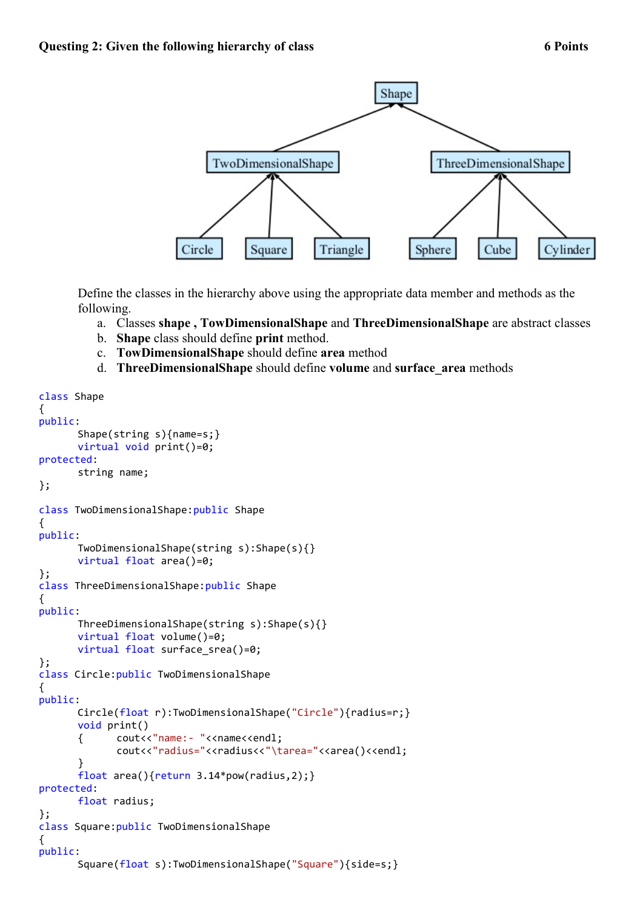

Define the classes in the hierarchy above using the appropriate data member and methods as the following.

- a. Classes **shape , TowDimensionalShape** and **ThreeDimensionalShape** are abstract classes
- b. **Shape** class should define **print** method.
- c. **TowDimensionalShape** should define **area** method
- d. **ThreeDimensionalShape** should define **volume** and **surface\_area** methods

```
class Shape
{
public:
      Shape(string s){name=s;}
      virtual void print()=0;
protected:
      string name;
};
class TwoDimensionalShape:public Shape
{
public:
      TwoDimensionalShape(string s):Shape(s){}
      virtual float area()=0;
};
class ThreeDimensionalShape:public Shape
{
public:
      ThreeDimensionalShape(string s):Shape(s){}
      virtual float volume()=0;
      virtual float surface_srea()=0;
};
class Circle:public TwoDimensionalShape
{
public:
      Circle(float r):TwoDimensionalShape("Circle"){radius=r;}
      void print()
      { cout<<"name:- "<<name<<endl;
             cout<<"radius="<<radius<<"\tarea="<<area()<<endl;
      }
      float area()\{return 3.14*pow(radius, 2); \}protected:
      float radius;
};
class Square:public TwoDimensionalShape
{
public:
      Square(float s):TwoDimensionalShape("Square"){side=s;}
```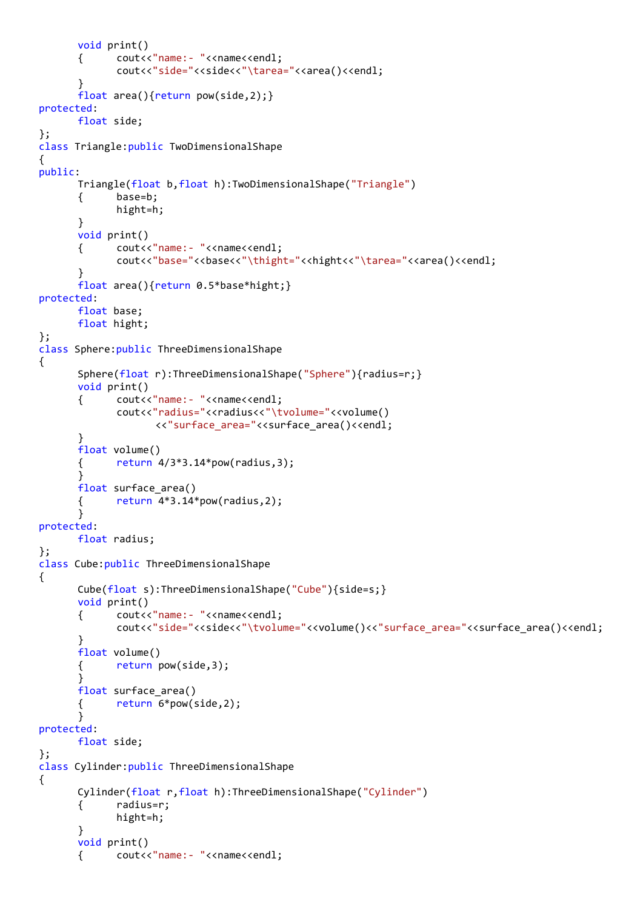```
void print()
      { cout<<"name:- "<<name<<endl;
             cout<<"side="<<side<<"\tarea="<<area()<<endl;
      }
      float area(){return pow(side, 2);}
protected:
      float side;
};
class Triangle:public TwoDimensionalShape
{
public:
      Triangle(float b,float h):TwoDimensionalShape("Triangle")
      { base=b;
             hight=h;
      }
      void print()
      { cout<<"name:- "<<name<<endl;
             cout<<"base="<<br/>sbase<<"\thight="<<hight<<"\tarea="<<area()<<endl;
      }
      float area(){return 0.5*base*hight;}
protected:
      float base;
      float hight;
};
class Sphere:public ThreeDimensionalShape
{
      Sphere(float r):ThreeDimensionalShape("Sphere"){radius=r;}
      void print()
      { cout<<"name:- "<<name<<endl;
             cout<<"radius="<<radius<<"\tvolume="<<volume()
                   <<"surface_area="<<surface_area()<<endl;
      }
      float volume()
      \{ return 4/3*3.14*pow(radius,3);}
      float surface area()
      { return 4*3.14* pow(radius, 2);
      }
protected:
      float radius;
};
class Cube:public ThreeDimensionalShape
{
      Cube(float s):ThreeDimensionalShape("Cube"){side=s;}
      void print()
      { cout<<"name:- "<<name<<endl;
             cout<<"side="<<side<<"\tvolume="<<volume()<<"surface_area="<<surface_area()<<endl;
      }
      float volume()
      { return pow(side,3);
      }
      float surface_area()
      { return 6*pow(side,2);
      }
protected:
      float side;
};
class Cylinder:public ThreeDimensionalShape
{
      Cylinder(float r,float h):ThreeDimensionalShape("Cylinder")
      { radius=r;
             hight=h;
      }
      void print()
      { cout<<"name:- "<<name<<endl;
```